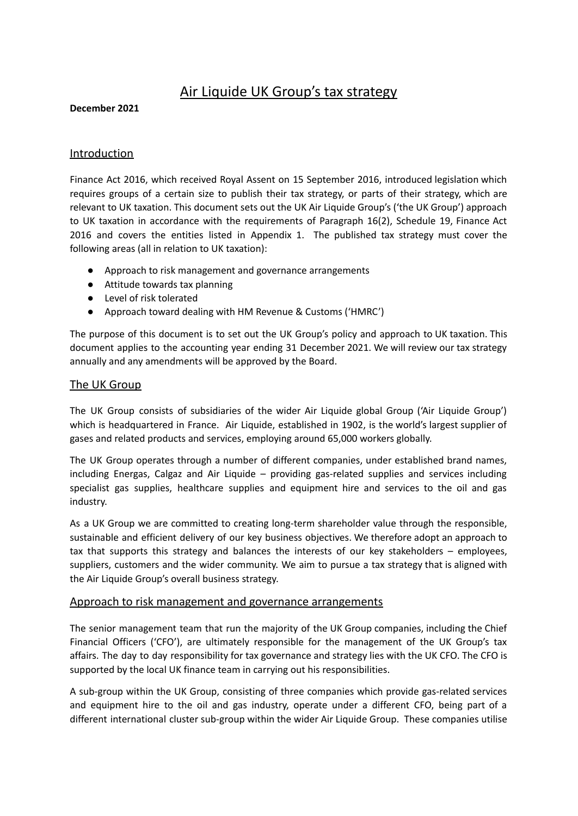# Air Liquide UK Group's tax strategy

#### **December 2021**

### **Introduction**

Finance Act 2016, which received Royal Assent on 15 September 2016, introduced legislation which requires groups of a certain size to publish their tax strategy, or parts of their strategy, which are relevant to UK taxation. This document sets out the UK Air Liquide Group's ('the UK Group') approach to UK taxation in accordance with the requirements of Paragraph 16(2), Schedule 19, Finance Act 2016 and covers the entities listed in Appendix 1. The published tax strategy must cover the following areas (all in relation to UK taxation):

- Approach to risk management and governance arrangements
- Attitude towards tax planning
- Level of risk tolerated
- Approach toward dealing with HM Revenue & Customs ('HMRC')

The purpose of this document is to set out the UK Group's policy and approach to UK taxation. This document applies to the accounting year ending 31 December 2021. We will review our tax strategy annually and any amendments will be approved by the Board.

## The UK Group

The UK Group consists of subsidiaries of the wider Air Liquide global Group ('Air Liquide Group') which is headquartered in France. Air Liquide, established in 1902, is the world's largest supplier of gases and related products and services, employing around 65,000 workers globally.

The UK Group operates through a number of different companies, under established brand names, including Energas, Calgaz and Air Liquide – providing gas-related supplies and services including specialist gas supplies, healthcare supplies and equipment hire and services to the oil and gas industry.

As a UK Group we are committed to creating long-term shareholder value through the responsible, sustainable and efficient delivery of our key business objectives. We therefore adopt an approach to tax that supports this strategy and balances the interests of our key stakeholders – employees, suppliers, customers and the wider community. We aim to pursue a tax strategy that is aligned with the Air Liquide Group's overall business strategy.

#### Approach to risk management and governance arrangements

The senior management team that run the majority of the UK Group companies, including the Chief Financial Officers ('CFO'), are ultimately responsible for the management of the UK Group's tax affairs. The day to day responsibility for tax governance and strategy lies with the UK CFO. The CFO is supported by the local UK finance team in carrying out his responsibilities.

A sub-group within the UK Group, consisting of three companies which provide gas-related services and equipment hire to the oil and gas industry, operate under a different CFO, being part of a different international cluster sub-group within the wider Air Liquide Group. These companies utilise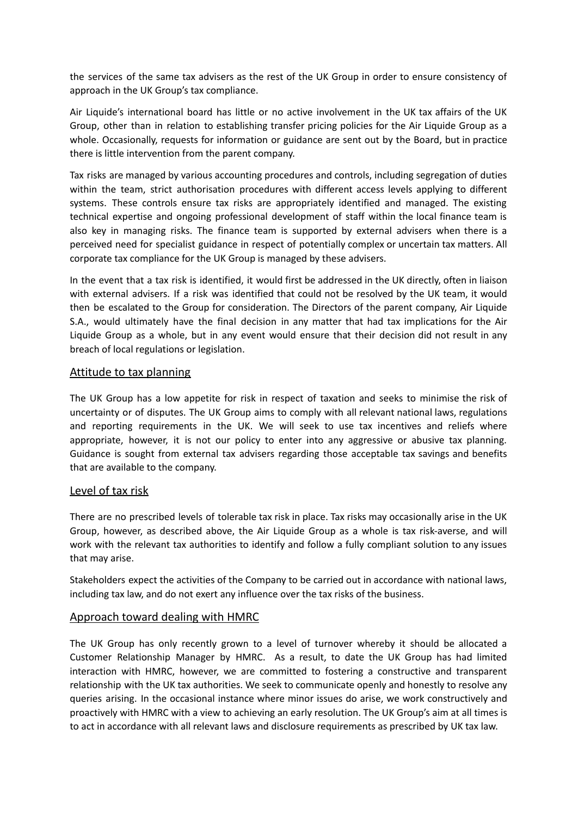the services of the same tax advisers as the rest of the UK Group in order to ensure consistency of approach in the UK Group's tax compliance.

Air Liquide's international board has little or no active involvement in the UK tax affairs of the UK Group, other than in relation to establishing transfer pricing policies for the Air Liquide Group as a whole. Occasionally, requests for information or guidance are sent out by the Board, but in practice there is little intervention from the parent company.

Tax risks are managed by various accounting procedures and controls, including segregation of duties within the team, strict authorisation procedures with different access levels applying to different systems. These controls ensure tax risks are appropriately identified and managed. The existing technical expertise and ongoing professional development of staff within the local finance team is also key in managing risks. The finance team is supported by external advisers when there is a perceived need for specialist guidance in respect of potentially complex or uncertain tax matters. All corporate tax compliance for the UK Group is managed by these advisers.

In the event that a tax risk is identified, it would first be addressed in the UK directly, often in liaison with external advisers. If a risk was identified that could not be resolved by the UK team, it would then be escalated to the Group for consideration. The Directors of the parent company, Air Liquide S.A., would ultimately have the final decision in any matter that had tax implications for the Air Liquide Group as a whole, but in any event would ensure that their decision did not result in any breach of local regulations or legislation.

#### Attitude to tax planning

The UK Group has a low appetite for risk in respect of taxation and seeks to minimise the risk of uncertainty or of disputes. The UK Group aims to comply with all relevant national laws, regulations and reporting requirements in the UK. We will seek to use tax incentives and reliefs where appropriate, however, it is not our policy to enter into any aggressive or abusive tax planning. Guidance is sought from external tax advisers regarding those acceptable tax savings and benefits that are available to the company.

#### Level of tax risk

There are no prescribed levels of tolerable tax risk in place. Tax risks may occasionally arise in the UK Group, however, as described above, the Air Liquide Group as a whole is tax risk-averse, and will work with the relevant tax authorities to identify and follow a fully compliant solution to any issues that may arise.

Stakeholders expect the activities of the Company to be carried out in accordance with national laws, including tax law, and do not exert any influence over the tax risks of the business.

#### Approach toward dealing with HMRC

The UK Group has only recently grown to a level of turnover whereby it should be allocated a Customer Relationship Manager by HMRC. As a result, to date the UK Group has had limited interaction with HMRC, however, we are committed to fostering a constructive and transparent relationship with the UK tax authorities. We seek to communicate openly and honestly to resolve any queries arising. In the occasional instance where minor issues do arise, we work constructively and proactively with HMRC with a view to achieving an early resolution. The UK Group's aim at all times is to act in accordance with all relevant laws and disclosure requirements as prescribed by UK tax law.